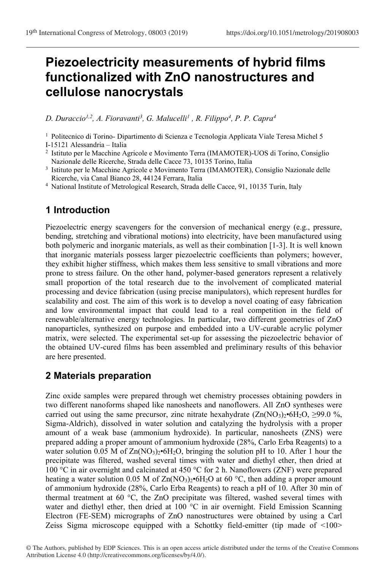# **Piezoelectricity measurements of hybrid films functionalized with ZnO nanostructures and cellulose nanocrystals**

*D. Duraccio1,2 , A. Fioravanti<sup>3</sup> , G. Malucelli<sup>1</sup> , R. Filippo<sup>4</sup> , P. P. Capra<sup>4</sup>*

<sup>1</sup> Politecnico di Torino- Dipartimento di Scienza e Tecnologia Applicata Viale Teresa Michel 5

I-15121 Alessandria – Italia

- <sup>3</sup> Istituto per le Macchine Agricole e Movimento Terra (IMAMOTER), Consiglio Nazionale delle Ricerche, via Canal Bianco 28, 44124 Ferrara, Italia
- <sup>4</sup> National Institute of Metrological Research, Strada delle Cacce, 91, 10135 Turin, Italy

## **1 Introduction**

Piezoelectric energy scavengers for the conversion of mechanical energy (e.g., pressure, bending, stretching and vibrational motions) into electricity, have been manufactured using both polymeric and inorganic materials, as well as their combination [1-3]. It is well known that inorganic materials possess larger piezoelectric coefficients than polymers; however, they exhibit higher stiffness, which makes them less sensitive to small vibrations and more prone to stress failure. On the other hand, polymer-based generators represent a relatively small proportion of the total research due to the involvement of complicated material processing and device fabrication (using precise manipulators), which represent hurdles for scalability and cost. The aim of this work is to develop a novel coating of easy fabrication and low environmental impact that could lead to a real competition in the field of renewable/alternative energy technologies. In particular, two different geometries of ZnO nanoparticles, synthesized on purpose and embedded into a UV-curable acrylic polymer matrix, were selected. The experimental set-up for assessing the piezoelectric behavior of the obtained UV-cured films has been assembled and preliminary results of this behavior are here presented.

## **2 Materials preparation**

Zinc oxide samples were prepared through wet chemistry processes obtaining powders in two different nanoforms shaped like nanosheets and nanoflowers. All ZnO syntheses were carried out using the same precursor, zinc nitrate hexahydrate  $(Zn(NO<sub>3</sub>)<sub>2</sub>•6H<sub>2</sub>O, \geq 99.0 \%$ , Sigma-Aldrich), dissolved in water solution and catalyzing the hydrolysis with a proper amount of a weak base (ammonium hydroxide). In particular, nanosheets (ZNS) were prepared adding a proper amount of ammonium hydroxide (28%, Carlo Erba Reagents) to a water solution 0.05 M of  $Zn(NO<sub>3</sub>)<sub>2</sub>•6H<sub>2</sub>O$ , bringing the solution pH to 10. After 1 hour the precipitate was filtered, washed several times with water and diethyl ether, then dried at 100 °C in air overnight and calcinated at 450 °C for 2 h. Nanoflowers (ZNF) were prepared heating a water solution 0.05 M of  $Zn(NO_3)_2 \cdot 6H_2O$  at 60 °C, then adding a proper amount of ammonium hydroxide (28%, Carlo Erba Reagents) to reach a pH of 10. After 30 min of thermal treatment at 60  $^{\circ}$ C, the ZnO precipitate was filtered, washed several times with water and diethyl ether, then dried at 100 °C in air overnight. Field Emission Scanning Electron (FE-SEM) micrographs of ZnO nanostructures were obtained by using a Carl Zeiss Sigma microscope equipped with a Schottky field-emitter (tip made of <100>

<sup>2</sup>Istituto per le Macchine Agricole e Movimento Terra (IMAMOTER)-UOS di Torino, Consiglio Nazionale delle Ricerche, Strada delle Cacce 73, 10135 Torino, Italia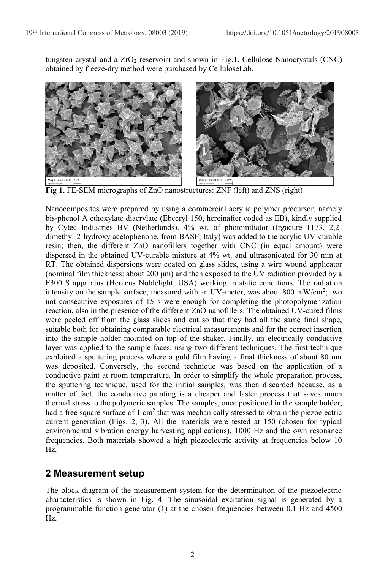tungsten crystal and a  $ZrO<sub>2</sub>$  reservoir) and shown in Fig.1. Cellulose Nanocrystals (CNC) obtained by freeze-dry method were purchased by CelluloseLab.



**Fig 1.** FE-SEM micrographs of ZnO nanostructures: ZNF (left) and ZNS (right)

Nanocomposites were prepared by using a commercial acrylic polymer precursor, namely bis-phenol A ethoxylate diacrylate (Ebecryl 150, hereinafter coded as EB), kindly supplied by Cytec Industries BV (Netherlands). 4% wt. of photoinitiator (Irgacure 1173, 2,2 dimethyl-2-hydroxy acetophenone, from BASF, Italy) was added to the acrylic UV-curable resin; then, the different ZnO nanofillers together with CNC (in equal amount) were dispersed in the obtained UV-curable mixture at 4% wt. and ultrasonicated for 30 min at RT. The obtained dispersions were coated on glass slides, using a wire wound applicator (nominal film thickness: about 200 μm) and then exposed to the UV radiation provided by a F300 S apparatus (Heraeus Noblelight, USA) working in static conditions. The radiation intensity on the sample surface, measured with an UV-meter, was about 800 mW/cm<sup>2</sup>; two not consecutive exposures of 15 s were enough for completing the photopolymerization reaction, also in the presence of the different ZnO nanofillers. The obtained UV-cured films were peeled off from the glass slides and cut so that they had all the same final shape, suitable both for obtaining comparable electrical measurements and for the correct insertion into the sample holder mounted on top of the shaker. Finally, an electrically conductive layer was applied to the sample faces, using two different techniques. The first technique exploited a sputtering process where a gold film having a final thickness of about 80 nm was deposited. Conversely, the second technique was based on the application of a conductive paint at room temperature. In order to simplify the whole preparation process, the sputtering technique, used for the initial samples, was then discarded because, as a matter of fact, the conductive painting is a cheaper and faster process that saves much thermal stress to the polymeric samples. The samples, once positioned in the sample holder, had a free square surface of 1 cm<sup>2</sup> that was mechanically stressed to obtain the piezoelectric current generation (Figs. 2, 3). All the materials were tested at 150 (chosen for typical environmental vibration energy harvesting applications), 1000 Hz and the own resonance frequencies. Both materials showed a high piezoelectric activity at frequencies below 10 Hz.

#### **2 Measurement setup**

The block diagram of the measurement system for the determination of the piezoelectric characteristics is shown in Fig. 4. The sinusoidal excitation signal is generated by a programmable function generator (1) at the chosen frequencies between 0.1 Hz and 4500 Hz.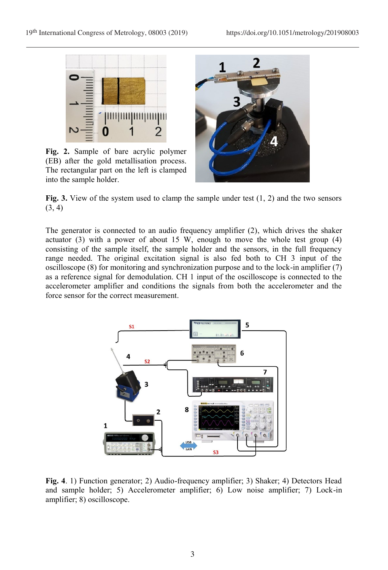

**Fig. 2.** Sample of bare acrylic polymer (EB) after the gold metallisation process. The rectangular part on the left is clamped into the sample holder.



**Fig. 3.** View of the system used to clamp the sample under test (1, 2) and the two sensors  $(3, 4)$ 

The generator is connected to an audio frequency amplifier (2), which drives the shaker actuator (3) with a power of about 15 W, enough to move the whole test group (4) consisting of the sample itself, the sample holder and the sensors, in the full frequency range needed. The original excitation signal is also fed both to CH 3 input of the oscilloscope (8) for monitoring and synchronization purpose and to the lock-in amplifier (7) as a reference signal for demodulation. CH 1 input of the oscilloscope is connected to the accelerometer amplifier and conditions the signals from both the accelerometer and the force sensor for the correct measurement.



**Fig. 4**. 1) Function generator; 2) Audio-frequency amplifier; 3) Shaker; 4) Detectors Head and sample holder; 5) Accelerometer amplifier; 6) Low noise amplifier; 7) Lock-in amplifier; 8) oscilloscope.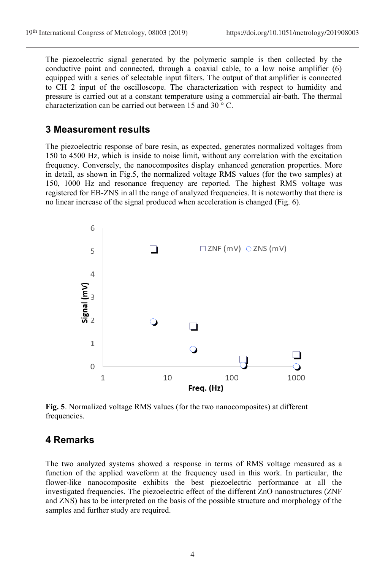The piezoelectric signal generated by the polymeric sample is then collected by the conductive paint and connected, through a coaxial cable, to a low noise amplifier (6) equipped with a series of selectable input filters. The output of that amplifier is connected to CH 2 input of the oscilloscope. The characterization with respect to humidity and pressure is carried out at a constant temperature using a commercial air-bath. The thermal characterization can be carried out between 15 and 30 ° C.

#### **3 Measurement results**

The piezoelectric response of bare resin, as expected, generates normalized voltages from 150 to 4500 Hz, which is inside to noise limit, without any correlation with the excitation frequency. Conversely, the nanocomposites display enhanced generation properties. More in detail, as shown in Fig.5, the normalized voltage RMS values (for the two samples) at 150, 1000 Hz and resonance frequency are reported. The highest RMS voltage was registered for EB-ZNS in all the range of analyzed frequencies. It is noteworthy that there is no linear increase of the signal produced when acceleration is changed (Fig. 6).



**Fig. 5**. Normalized voltage RMS values (for the two nanocomposites) at different frequencies.

### **4 Remarks**

The two analyzed systems showed a response in terms of RMS voltage measured as a function of the applied waveform at the frequency used in this work. In particular, the flower-like nanocomposite exhibits the best piezoelectric performance at all the investigated frequencies. The piezoelectric effect of the different ZnO nanostructures (ZNF and ZNS) has to be interpreted on the basis of the possible structure and morphology of the samples and further study are required.